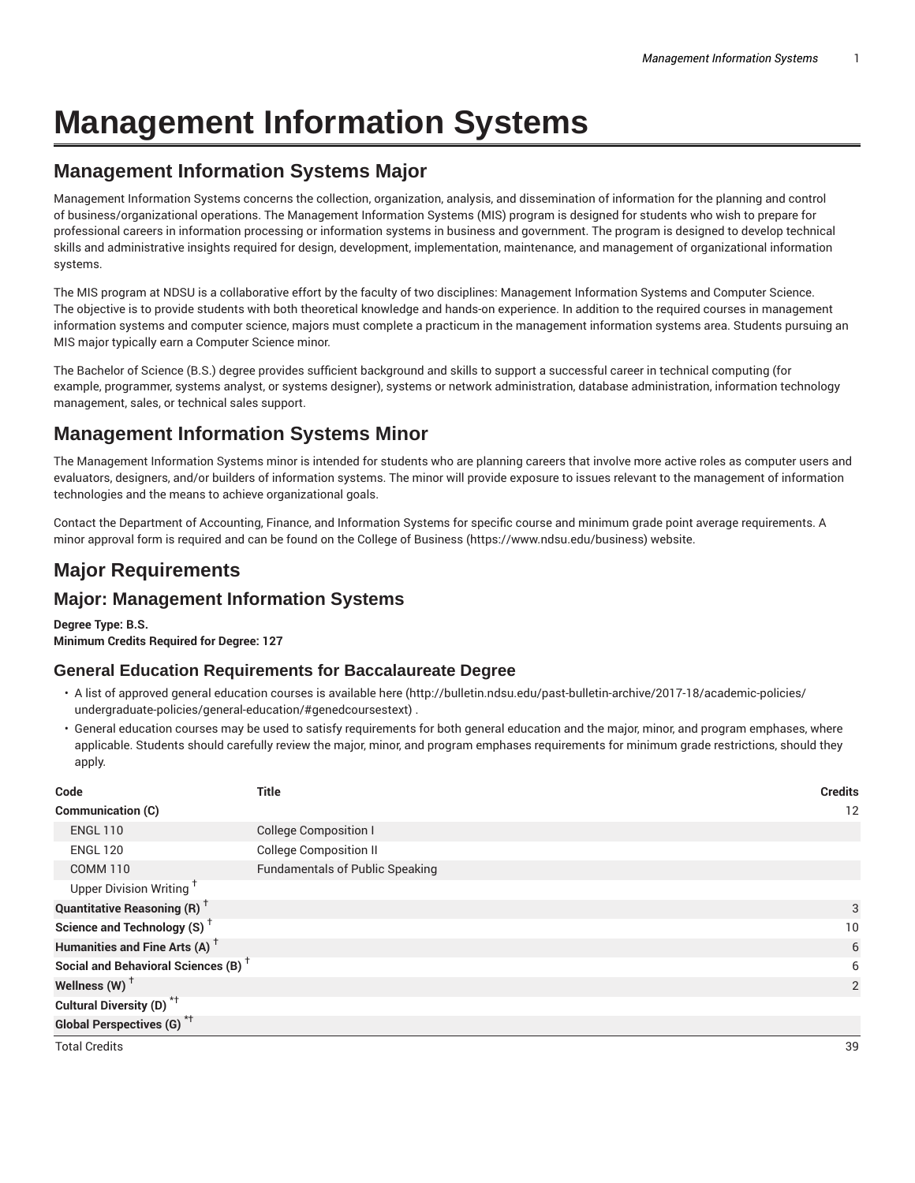# **Management Information Systems**

# **Management Information Systems Major**

Management Information Systems concerns the collection, organization, analysis, and dissemination of information for the planning and control of business/organizational operations. The Management Information Systems (MIS) program is designed for students who wish to prepare for professional careers in information processing or information systems in business and government. The program is designed to develop technical skills and administrative insights required for design, development, implementation, maintenance, and management of organizational information systems.

The MIS program at NDSU is a collaborative effort by the faculty of two disciplines: Management Information Systems and Computer Science. The objective is to provide students with both theoretical knowledge and hands-on experience. In addition to the required courses in management information systems and computer science, majors must complete a practicum in the management information systems area. Students pursuing an MIS major typically earn a Computer Science minor.

The Bachelor of Science (B.S.) degree provides sufficient background and skills to support a successful career in technical computing (for example, programmer, systems analyst, or systems designer), systems or network administration, database administration, information technology management, sales, or technical sales support.

# **Management Information Systems Minor**

The Management Information Systems minor is intended for students who are planning careers that involve more active roles as computer users and evaluators, designers, and/or builders of information systems. The minor will provide exposure to issues relevant to the management of information technologies and the means to achieve organizational goals.

Contact the Department of Accounting, Finance, and Information Systems for specific course and minimum grade point average requirements. A minor approval form is required and can be found on the College of Business (https://www.ndsu.edu/business) website.

# **Major Requirements**

## **Major: Management Information Systems**

**Degree Type: B.S. Minimum Credits Required for Degree: 127**

## **General Education Requirements for Baccalaureate Degree**

- A list of approved general education courses is available here (http://bulletin.ndsu.edu/past-bulletin-archive/2017-18/academic-policies/ undergraduate-policies/general-education/#genedcoursestext) .
- General education courses may be used to satisfy requirements for both general education and the major, minor, and program emphases, where applicable. Students should carefully review the major, minor, and program emphases requirements for minimum grade restrictions, should they apply.

| Code                                            | <b>Title</b>                           | <b>Credits</b>  |
|-------------------------------------------------|----------------------------------------|-----------------|
| Communication (C)                               |                                        | 12              |
| <b>ENGL 110</b>                                 | <b>College Composition I</b>           |                 |
| <b>ENGL 120</b>                                 | <b>College Composition II</b>          |                 |
| <b>COMM 110</b>                                 | <b>Fundamentals of Public Speaking</b> |                 |
| Upper Division Writing <sup>+</sup>             |                                        |                 |
| <b>Quantitative Reasoning (R)</b> <sup>†</sup>  |                                        | 3               |
| Science and Technology (S) <sup>+</sup>         |                                        | 10 <sup>°</sup> |
| Humanities and Fine Arts (A) <sup>+</sup>       |                                        | 6               |
| Social and Behavioral Sciences (B) <sup>+</sup> |                                        | 6               |
| Wellness (W) $^{\dagger}$                       |                                        | 2               |
| Cultural Diversity (D) <sup>*†</sup>            |                                        |                 |
| <b>Global Perspectives (G)</b> <sup>*†</sup>    |                                        |                 |
| <b>Total Credits</b>                            |                                        | 39              |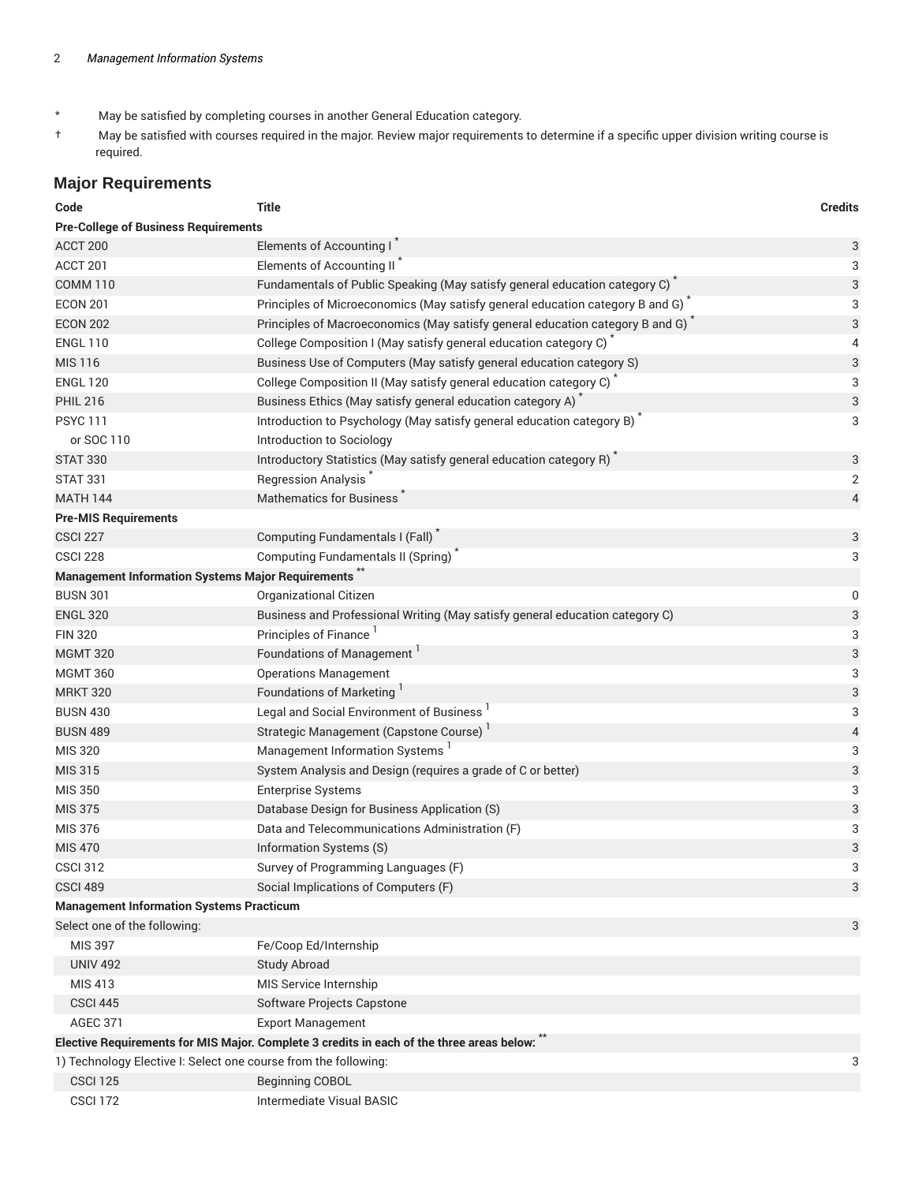- \* May be satisfied by completing courses in another General Education category.
- † May be satisfied with courses required in the major. Review major requirements to determine if a specific upper division writing course is required.

## **Major Requirements**

| Code                                                                                      | <b>Title</b>                                                                  | <b>Credits</b>            |  |
|-------------------------------------------------------------------------------------------|-------------------------------------------------------------------------------|---------------------------|--|
| <b>Pre-College of Business Requirements</b>                                               |                                                                               |                           |  |
| ACCT 200                                                                                  | Elements of Accounting I                                                      | 3                         |  |
| ACCT 201                                                                                  | Elements of Accounting II                                                     | 3                         |  |
| <b>COMM 110</b>                                                                           | Fundamentals of Public Speaking (May satisfy general education category C)    | 3                         |  |
| <b>ECON 201</b>                                                                           | Principles of Microeconomics (May satisfy general education category B and G) | 3                         |  |
| <b>ECON 202</b>                                                                           | Principles of Macroeconomics (May satisfy general education category B and G) | 3                         |  |
| <b>ENGL 110</b>                                                                           | College Composition I (May satisfy general education category C)              | 4                         |  |
| <b>MIS 116</b>                                                                            | Business Use of Computers (May satisfy general education category S)          | 3                         |  |
| <b>ENGL 120</b>                                                                           | College Composition II (May satisfy general education category C)             | 3                         |  |
| <b>PHIL 216</b>                                                                           | Business Ethics (May satisfy general education category A)                    | 3                         |  |
| <b>PSYC111</b>                                                                            | Introduction to Psychology (May satisfy general education category B)         | 3                         |  |
| or SOC 110                                                                                | Introduction to Sociology                                                     |                           |  |
| <b>STAT 330</b>                                                                           | Introductory Statistics (May satisfy general education category R)            | 3                         |  |
| <b>STAT 331</b>                                                                           | <b>Regression Analysis</b>                                                    | $\mathbf 2$               |  |
| <b>MATH 144</b>                                                                           | <b>Mathematics for Business</b>                                               | $\overline{4}$            |  |
| <b>Pre-MIS Requirements</b>                                                               |                                                                               |                           |  |
| <b>CSCI 227</b>                                                                           | Computing Fundamentals I (Fall) <sup>*</sup>                                  | 3                         |  |
| <b>CSCI 228</b>                                                                           | Computing Fundamentals II (Spring) <sup>"</sup>                               | 3                         |  |
| <b>Management Information Systems Major Requirements</b> <sup>**</sup>                    |                                                                               |                           |  |
| <b>BUSN 301</b>                                                                           | Organizational Citizen                                                        | 0                         |  |
| <b>ENGL 320</b>                                                                           | Business and Professional Writing (May satisfy general education category C)  | 3                         |  |
| <b>FIN 320</b>                                                                            | Principles of Finance                                                         | 3                         |  |
| <b>MGMT 320</b>                                                                           | Foundations of Management                                                     | $\ensuremath{\mathsf{3}}$ |  |
| <b>MGMT 360</b>                                                                           | <b>Operations Management</b>                                                  | 3                         |  |
| <b>MRKT 320</b>                                                                           | Foundations of Marketing                                                      | 3                         |  |
| <b>BUSN 430</b>                                                                           | Legal and Social Environment of Business <sup>1</sup>                         | 3                         |  |
| <b>BUSN 489</b>                                                                           | Strategic Management (Capstone Course)                                        | $\overline{4}$            |  |
| <b>MIS 320</b>                                                                            | Management Information Systems                                                | 3                         |  |
| MIS 315                                                                                   | System Analysis and Design (requires a grade of C or better)                  | 3                         |  |
| <b>MIS 350</b>                                                                            | <b>Enterprise Systems</b>                                                     | 3                         |  |
| <b>MIS 375</b>                                                                            | Database Design for Business Application (S)                                  | $\ensuremath{\mathsf{3}}$ |  |
| MIS 376                                                                                   | Data and Telecommunications Administration (F)                                | 3                         |  |
| <b>MIS 470</b>                                                                            | Information Systems (S)                                                       | $\ensuremath{\mathsf{3}}$ |  |
| <b>CSCI 312</b>                                                                           | Survey of Programming Languages (F)                                           | 3                         |  |
| <b>CSCI 489</b>                                                                           | Social Implications of Computers (F)                                          | 3                         |  |
| <b>Management Information Systems Practicum</b>                                           |                                                                               |                           |  |
| Select one of the following:                                                              |                                                                               | 3                         |  |
| <b>MIS 397</b>                                                                            | Fe/Coop Ed/Internship                                                         |                           |  |
| <b>UNIV 492</b>                                                                           | <b>Study Abroad</b>                                                           |                           |  |
| MIS 413                                                                                   | MIS Service Internship                                                        |                           |  |
| <b>CSCI 445</b>                                                                           | Software Projects Capstone                                                    |                           |  |
| <b>AGEC 371</b>                                                                           | <b>Export Management</b>                                                      |                           |  |
| Elective Requirements for MIS Major. Complete 3 credits in each of the three areas below: |                                                                               |                           |  |
| 1) Technology Elective I: Select one course from the following:                           |                                                                               | 3                         |  |
| <b>CSCI 125</b>                                                                           | <b>Beginning COBOL</b>                                                        |                           |  |
| <b>CSCI 172</b>                                                                           | Intermediate Visual BASIC                                                     |                           |  |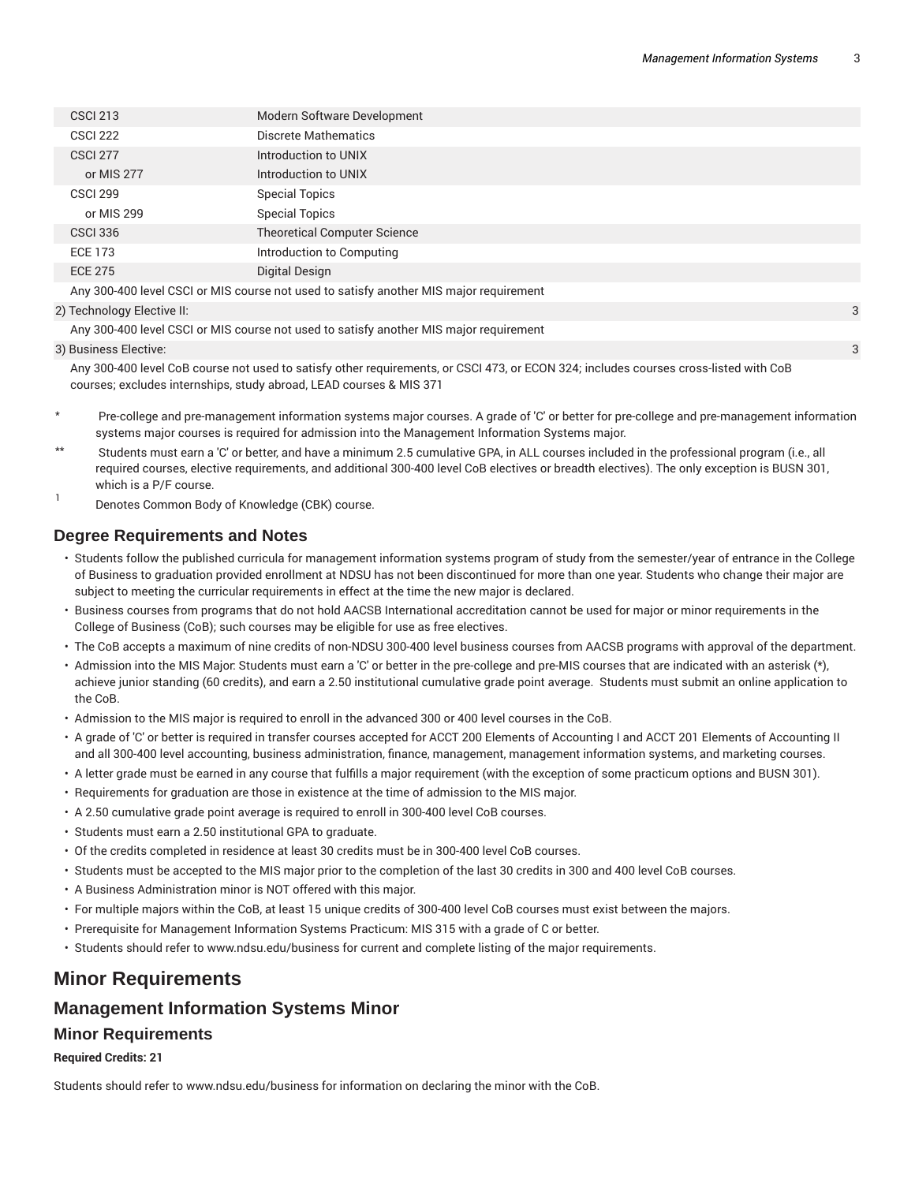| <b>CSCI 213</b>                                                                        | Modern Software Development         |  |
|----------------------------------------------------------------------------------------|-------------------------------------|--|
| <b>CSCI 222</b>                                                                        | Discrete Mathematics                |  |
| <b>CSCI 277</b>                                                                        | Introduction to UNIX                |  |
| or MIS 277                                                                             | Introduction to UNIX                |  |
| <b>CSCI 299</b>                                                                        | <b>Special Topics</b>               |  |
| or MIS 299                                                                             | <b>Special Topics</b>               |  |
| <b>CSCI 336</b>                                                                        | <b>Theoretical Computer Science</b> |  |
| <b>ECE 173</b>                                                                         | Introduction to Computing           |  |
| <b>ECE 275</b>                                                                         | Digital Design                      |  |
| Any 300-400 level CSCI or MIS course not used to satisfy another MIS major requirement |                                     |  |

#### 2) Technology Elective II: 3

Any 300-400 level CSCI or MIS course not used to satisfy another MIS major requirement

#### 3) Business Elective: 3

Any 300-400 level CoB course not used to satisfy other requirements, or CSCI 473, or ECON 324; includes courses cross-listed with CoB courses; excludes internships, study abroad, LEAD courses & MIS 371

- Pre-college and pre-management information systems major courses. A grade of 'C' or better for pre-college and pre-management information systems major courses is required for admission into the Management Information Systems major.
- Students must earn a 'C' or better, and have a minimum 2.5 cumulative GPA, in ALL courses included in the professional program (i.e., all required courses, elective requirements, and additional 300-400 level CoB electives or breadth electives). The only exception is BUSN 301, which is a P/F course.
- 1 Denotes Common Body of Knowledge (CBK) course.

### **Degree Requirements and Notes**

- Students follow the published curricula for management information systems program of study from the semester/year of entrance in the College of Business to graduation provided enrollment at NDSU has not been discontinued for more than one year. Students who change their major are subject to meeting the curricular requirements in effect at the time the new major is declared.
- Business courses from programs that do not hold AACSB International accreditation cannot be used for major or minor requirements in the College of Business (CoB); such courses may be eligible for use as free electives.
- The CoB accepts a maximum of nine credits of non-NDSU 300-400 level business courses from AACSB programs with approval of the department.
- Admission into the MIS Major: Students must earn a 'C' or better in the pre-college and pre-MIS courses that are indicated with an asterisk (\*), achieve junior standing (60 credits), and earn a 2.50 institutional cumulative grade point average. Students must submit an online application to the CoB.
- Admission to the MIS major is required to enroll in the advanced 300 or 400 level courses in the CoB.
- A grade of 'C' or better is required in transfer courses accepted for ACCT 200 Elements of Accounting I and ACCT 201 Elements of Accounting II and all 300-400 level accounting, business administration, finance, management, management information systems, and marketing courses.
- A letter grade must be earned in any course that fulfills a major requirement (with the exception of some practicum options and BUSN 301).
- Requirements for graduation are those in existence at the time of admission to the MIS major.
- A 2.50 cumulative grade point average is required to enroll in 300-400 level CoB courses.
- Students must earn a 2.50 institutional GPA to graduate.
- Of the credits completed in residence at least 30 credits must be in 300-400 level CoB courses.
- Students must be accepted to the MIS major prior to the completion of the last 30 credits in 300 and 400 level CoB courses.
- A Business Administration minor is NOT offered with this major.
- For multiple majors within the CoB, at least 15 unique credits of 300-400 level CoB courses must exist between the majors.
- Prerequisite for Management Information Systems Practicum: MIS 315 with a grade of C or better.
- Students should refer to www.ndsu.edu/business for current and complete listing of the major requirements.

## **Minor Requirements**

## **Management Information Systems Minor**

#### **Minor Requirements**

#### **Required Credits: 21**

Students should refer to www.ndsu.edu/business for information on declaring the minor with the CoB.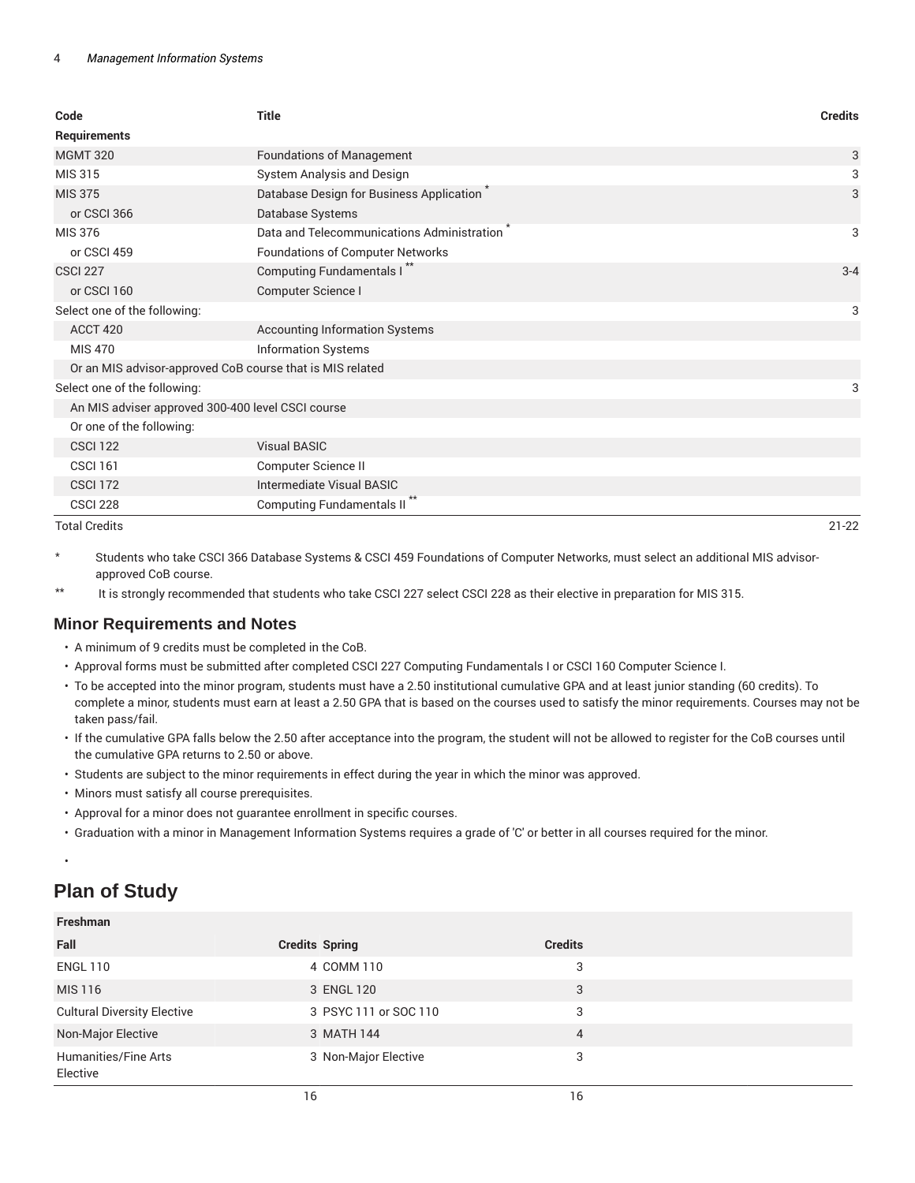| Code                                                      | <b>Title</b>                               | <b>Credits</b> |
|-----------------------------------------------------------|--------------------------------------------|----------------|
| Requirements                                              |                                            |                |
| <b>MGMT 320</b>                                           | <b>Foundations of Management</b>           | 3              |
| MIS 315                                                   | System Analysis and Design                 | 3              |
| <b>MIS 375</b>                                            | Database Design for Business Application   | 3              |
| or CSCI 366                                               | Database Systems                           |                |
| MIS 376                                                   | Data and Telecommunications Administration | 3              |
| or CSCI 459                                               | <b>Foundations of Computer Networks</b>    |                |
| <b>CSCI 227</b>                                           | Computing Fundamentals I                   | $3 - 4$        |
| or CSCI 160                                               | Computer Science I                         |                |
| Select one of the following:                              |                                            | 3              |
| ACCT 420                                                  | <b>Accounting Information Systems</b>      |                |
| <b>MIS 470</b>                                            | <b>Information Systems</b>                 |                |
| Or an MIS advisor-approved CoB course that is MIS related |                                            |                |
| Select one of the following:                              |                                            | 3              |
| An MIS adviser approved 300-400 level CSCI course         |                                            |                |
| Or one of the following:                                  |                                            |                |
| <b>CSCI 122</b>                                           | <b>Visual BASIC</b>                        |                |
| <b>CSCI 161</b>                                           | Computer Science II                        |                |
| <b>CSCI 172</b>                                           | Intermediate Visual BASIC                  |                |
| <b>CSCI 228</b>                                           | <b>Computing Fundamentals II</b>           |                |

#### Total Credits 21-22

\* Students who take CSCI 366 Database Systems & CSCI 459 Foundations of Computer Networks, must select an additional MIS advisorapproved CoB course.

\*\* It is strongly recommended that students who take CSCI 227 select CSCI 228 as their elective in preparation for MIS 315.

## **Minor Requirements and Notes**

- A minimum of 9 credits must be completed in the CoB.
- Approval forms must be submitted after completed CSCI 227 Computing Fundamentals I or CSCI 160 Computer Science I.
- To be accepted into the minor program, students must have a 2.50 institutional cumulative GPA and at least junior standing (60 credits). To complete a minor, students must earn at least a 2.50 GPA that is based on the courses used to satisfy the minor requirements. Courses may not be taken pass/fail.
- If the cumulative GPA falls below the 2.50 after acceptance into the program, the student will not be allowed to register for the CoB courses until the cumulative GPA returns to 2.50 or above.
- Students are subject to the minor requirements in effect during the year in which the minor was approved.
- Minors must satisfy all course prerequisites.
- Approval for a minor does not guarantee enrollment in specific courses.
- Graduation with a minor in Management Information Systems requires a grade of 'C' or better in all courses required for the minor.

#### •

**Freshman**

# **Plan of Study**

| .                                  |                       |                |  |
|------------------------------------|-----------------------|----------------|--|
| Fall                               | <b>Credits Spring</b> | <b>Credits</b> |  |
| <b>ENGL 110</b>                    | 4 COMM 110            | 3              |  |
| MIS 116                            | 3 ENGL 120            | 3              |  |
| <b>Cultural Diversity Elective</b> | 3 PSYC 111 or SOC 110 | 3              |  |
| Non-Major Elective                 | 3 MATH 144            | 4              |  |
| Humanities/Fine Arts<br>Elective   | 3 Non-Major Elective  | 3              |  |
|                                    | 16                    | 16             |  |